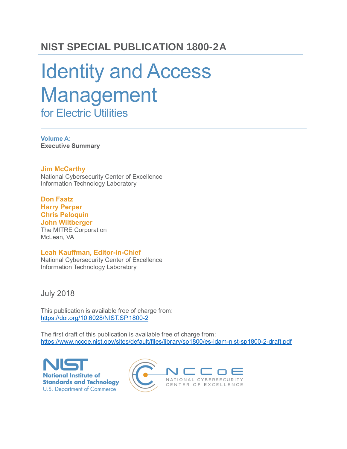### **NIST SPECIAL PUBLICATION 1800-2A**

# Identity and Access Management for Electric Utilities

**Volume A: Executive Summary**

**Jim McCarthy**

National Cybersecurity Center of Excellence Information Technology Laboratory

**Don Faatz Harry Perper Chris Peloquin John Wiltberger** The MITRE Corporation McLean, VA

#### **Leah Kauffman, Editor-in-Chief**

National Cybersecurity Center of Excellence Information Technology Laboratory

July 2018

This publication is available free of charge from: <https://doi.org/10.6028/NIST.SP.1800-2>

The first draft of this publication is available free of charge from: <https://www.nccoe.nist.gov/sites/default/files/library/sp1800/es-idam-nist-sp1800-2-draft.pdf>

**National Institute of Standards and Technology U.S. Department of Commerce** 

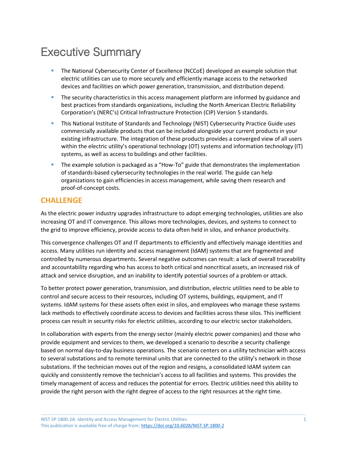## Executive Summary

- The National Cybersecurity Center of Excellence (NCCoE) developed an example solution that electric utilities can use to more securely and efficiently manage access to the networked devices and facilities on which power generation, transmission, and distribution depend.
- **•** The security characteristics in this access management platform are informed by guidance and best practices from standards organizations, including the North American Electric Reliability Corporation's (NERC's) Critical Infrastructure Protection (CIP) Version 5 standards.
- **EXTED 11** This National Institute of Standards and Technology (NIST) Cybersecurity Practice Guide uses commercially available products that can be included alongside your current products in your existing infrastructure. The integration of these products provides a converged view of all users within the electric utility's operational technology (OT) systems and information technology (IT) systems, as well as access to buildings and other facilities.
- **•** The example solution is packaged as a "How-To" guide that demonstrates the implementation of standards-based cybersecurity technologies in the real world. The guide can help organizations to gain efficiencies in access management, while saving them research and proof-of-concept costs.

#### **CHALLENGE**

As the electric power industry upgrades infrastructure to adopt emerging technologies, utilities are also increasing OT and IT convergence. This allows more technologies, devices, and systems to connect to the grid to improve efficiency, provide access to data often held in silos, and enhance productivity.

This convergence challenges OT and IT departments to efficiently and effectively manage identities and access. Many utilities run identity and access management (IdAM) systems that are fragmented and controlled by numerous departments. Several negative outcomes can result: a lack of overall traceability and accountability regarding who has access to both critical and noncritical assets, an increased risk of attack and service disruption, and an inability to identify potential sources of a problem or attack.

To better protect power generation, transmission, and distribution, electric utilities need to be able to control and secure access to their resources, including OT systems, buildings, equipment, and IT systems. IdAM systems for these assets often exist in silos, and employees who manage these systems lack methods to effectively coordinate access to devices and facilities across these silos. This inefficient process can result in security risks for electric utilities, according to our electric sector stakeholders.

In collaboration with experts from the energy sector (mainly electric power companies) and those who provide equipment and services to them, we developed a scenario to describe a security challenge based on normal day-to-day business operations. The scenario centers on a utility technician with access to several substations and to remote terminal units that are connected to the utility's network in those substations. If the technician moves out of the region and resigns, a consolidated IdAM system can quickly and consistently remove the technician's access to all facilities and systems. This provides the timely management of access and reduces the potential for errors. Electric utilities need this ability to provide the right person with the right degree of access to the right resources at the right time.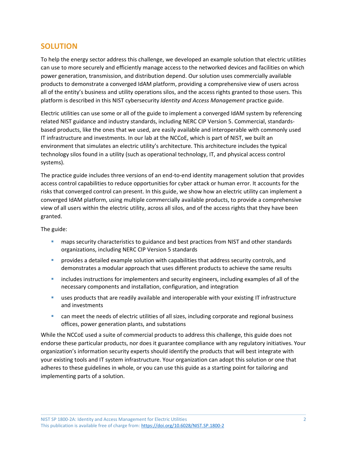#### **SOLUTION**

To help the energy sector address this challenge, we developed an example solution that electric utilities can use to more securely and efficiently manage access to the networked devices and facilities on which power generation, transmission, and distribution depend. Our solution uses commercially available products to demonstrate a converged IdAM platform, providing a comprehensive view of users across all of the entity's business and utility operations silos, and the access rights granted to those users. This platform is described in this NIST cybersecurity *Identity and Access Management* practice guide.

Electric utilities can use some or all of the guide to implement a converged IdAM system by referencing related NIST guidance and industry standards, including NERC CIP Version 5. Commercial, standardsbased products, like the ones that we used, are easily available and interoperable with commonly used IT infrastructure and investments. In our lab at the NCCoE, which is part of NIST, we built an environment that simulates an electric utility's architecture. This architecture includes the typical technology silos found in a utility (such as operational technology, IT, and physical access control systems).

The practice guide includes three versions of an end-to-end identity management solution that provides access control capabilities to reduce opportunities for cyber attack or human error. It accounts for the risks that converged control can present. In this guide, we show how an electric utility can implement a converged IdAM platform, using multiple commercially available products, to provide a comprehensive view of all users within the electric utility, across all silos, and of the access rights that they have been granted.

The guide:

- **■** maps security characteristics to guidance and best practices from NIST and other standards organizations, including NERC CIP Version 5 standards
- **•** provides a detailed example solution with capabilities that address security controls, and demonstrates a modular approach that uses different products to achieve the same results
- **EXECUTE:** includes instructions for implementers and security engineers, including examples of all of the necessary components and installation, configuration, and integration
- uses products that are readily available and interoperable with your existing IT infrastructure and investments
- can meet the needs of electric utilities of all sizes, including corporate and regional business offices, power generation plants, and substations

While the NCCoE used a suite of commercial products to address this challenge, this guide does not endorse these particular products, nor does it guarantee compliance with any regulatory initiatives. Your organization's information security experts should identify the products that will best integrate with your existing tools and IT system infrastructure. Your organization can adopt this solution or one that adheres to these guidelines in whole, or you can use this guide as a starting point for tailoring and implementing parts of a solution.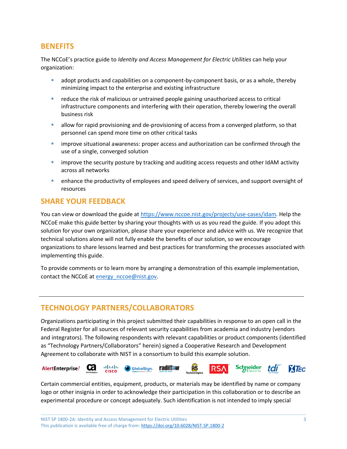#### **BENEFITS**

The NCCoE's practice guide to *Identity and Access Management for Electric Utilities* can help your organization:

- adopt products and capabilities on a component-by-component basis, or as a whole, thereby minimizing impact to the enterprise and existing infrastructure
- reduce the risk of malicious or untrained people gaining unauthorized access to critical infrastructure components and interfering with their operation, thereby lowering the overall business risk
- **EXECT** allow for rapid provisioning and de-provisioning of access from a converged platform, so that personnel can spend more time on other critical tasks
- **E** improve situational awareness: proper access and authorization can be confirmed through the use of a single, converged solution
- **E** improve the security posture by tracking and auditing access requests and other IdAM activity across all networks
- enhance the productivity of employees and speed delivery of services, and support oversight of resources

#### **SHARE YOUR FEEDBACK**

You can view or download the guide at [https://www.nccoe.nist.gov/projects/use-cases/idam.](https://www.nccoe.nist.gov/projects/use-cases/idam) Help the NCCoE make this guide better by sharing your thoughts with us as you read the guide. If you adopt this solution for your own organization, please share your experience and advice with us. We recognize that technical solutions alone will not fully enable the benefits of our solution, so we encourage organizations to share lessons learned and best practices for transforming the processes associated with implementing this guide.

To provide comments or to learn more by arranging a demonstration of this example implementation, contact the NCCoE at energy nccoe@nist.gov.

#### **TECHNOLOGY PARTNERS/COLLABORATORS**

Organizations participating in this project submitted their capabilities in response to an open call in the Federal Register for all sources of relevant security capabilities from academia and industry (vendors and integrators). The following respondents with relevant capabilities or product components (identified as "Technology Partners/Collaborators" herein) signed a Cooperative Research and Development Agreement to collaborate with NIST in a consortium to build this example solution.



Certain commercial entities, equipment, products, or materials may be identified by name or company logo or other insignia in order to acknowledge their participation in this collaboration or to describe an experimental procedure or concept adequately. Such identification is not intended to imply special